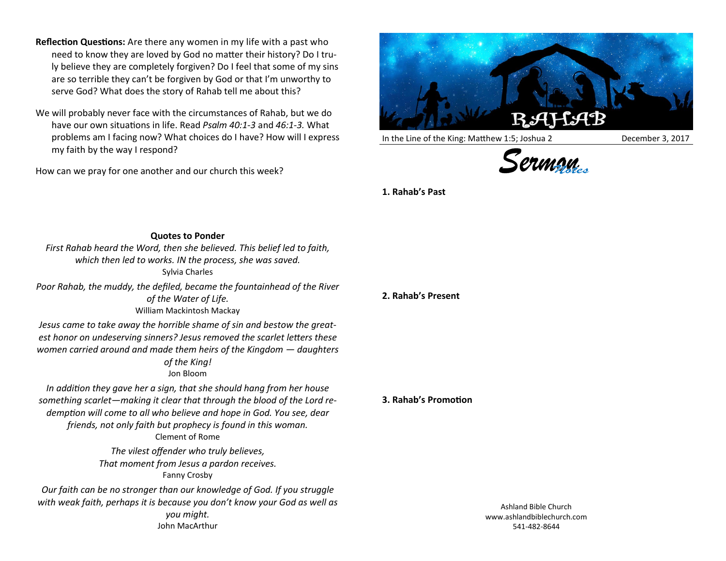- **Reflection Questions:** Are there any women in my life with a past who need to know they are loved by God no matter their history? Do I truly believe they are completely forgiven? Do I feel that some of my sins are so terrible they can't be forgiven by God or that I'm unworthy to serve God? What does the story of Rahab tell me about this?
- We will probably never face with the circumstances of Rahab, but we do have our own situations in life. Read *Psalm 40:1-3* and *46:1-3.* What problems am I facing now? What choices do I have? How will I express my faith by the way I respond?

How can we pray for one another and our church this week?



In the Line of the King: Matthew 1:5; Joshua 2 December 3, 2017





**1. Rahab's Past**

## **Quotes to Ponder**

*First Rahab heard the Word, then she believed. This belief led to faith, which then led to works. IN the process, she was saved.* Sylvia Charles

*Poor Rahab, the muddy, the defiled, became the fountainhead of the River of the Water of Life.* William Mackintosh Mackay

*Jesus came to take away the horrible shame of sin and bestow the greatest honor on undeserving sinners? Jesus removed the scarlet letters these women carried around and made them heirs of the Kingdom — daughters of the King!* Jon Bloom

*In addition they gave her a sign, that she should hang from her house something scarlet—making it clear that through the blood of the Lord redemption will come to all who believe and hope in God. You see, dear friends, not only faith but prophecy is found in this woman.* Clement of Rome

> *The vilest offender who truly believes, That moment from Jesus a pardon receives.* Fanny Crosby

*Our faith can be no stronger than our knowledge of God. If you struggle with weak faith, perhaps it is because you don't know your God as well as you might.* John MacArthur

**2. Rahab's Present**

**3. Rahab's Promotion**

Ashland Bible Church www.ashlandbiblechurch.com 541-482-8644